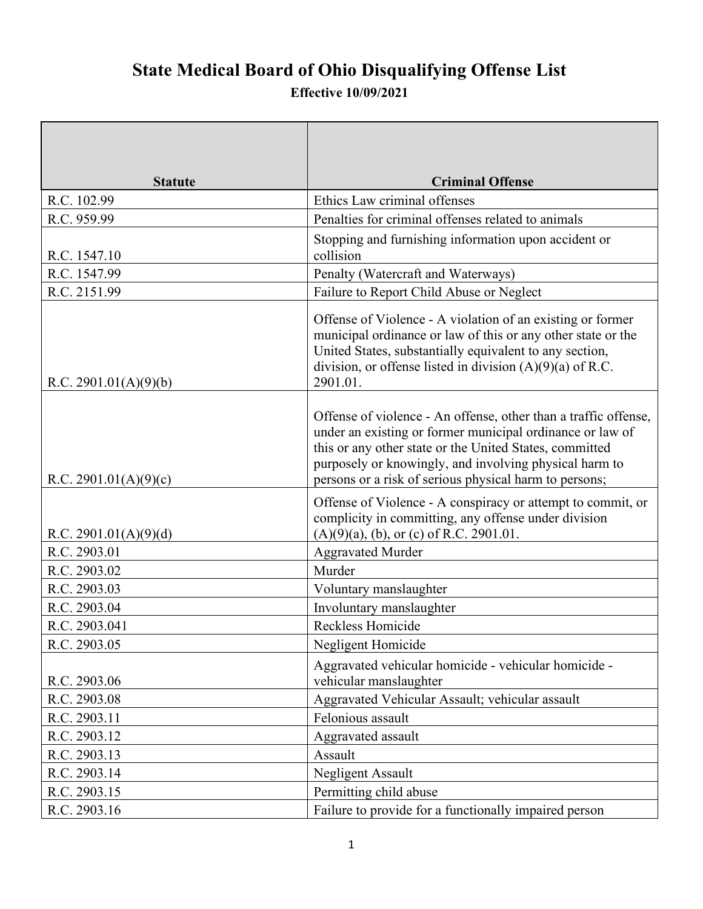## **State Medical Board of Ohio Disqualifying Offense List**

## **Effective 10/09/2021**

| <b>Statute</b>        | <b>Criminal Offense</b>                                                                                                                                                                                                                                                                                     |
|-----------------------|-------------------------------------------------------------------------------------------------------------------------------------------------------------------------------------------------------------------------------------------------------------------------------------------------------------|
| R.C. 102.99           | Ethics Law criminal offenses                                                                                                                                                                                                                                                                                |
| R.C. 959.99           | Penalties for criminal offenses related to animals                                                                                                                                                                                                                                                          |
| R.C. 1547.10          | Stopping and furnishing information upon accident or<br>collision                                                                                                                                                                                                                                           |
| R.C. 1547.99          | Penalty (Watercraft and Waterways)                                                                                                                                                                                                                                                                          |
| R.C. 2151.99          | Failure to Report Child Abuse or Neglect                                                                                                                                                                                                                                                                    |
| R.C. 2901.01(A)(9)(b) | Offense of Violence - A violation of an existing or former<br>municipal ordinance or law of this or any other state or the<br>United States, substantially equivalent to any section,<br>division, or offense listed in division $(A)(9)(a)$ of R.C.<br>2901.01.                                            |
| R.C. 2901.01(A)(9)(c) | Offense of violence - An offense, other than a traffic offense,<br>under an existing or former municipal ordinance or law of<br>this or any other state or the United States, committed<br>purposely or knowingly, and involving physical harm to<br>persons or a risk of serious physical harm to persons; |
| R.C. 2901.01(A)(9)(d) | Offense of Violence - A conspiracy or attempt to commit, or<br>complicity in committing, any offense under division<br>$(A)(9)(a)$ , (b), or (c) of R.C. 2901.01.                                                                                                                                           |
| R.C. 2903.01          | <b>Aggravated Murder</b>                                                                                                                                                                                                                                                                                    |
| R.C. 2903.02          | Murder                                                                                                                                                                                                                                                                                                      |
| R.C. 2903.03          | Voluntary manslaughter                                                                                                                                                                                                                                                                                      |
| R.C. 2903.04          | Involuntary manslaughter                                                                                                                                                                                                                                                                                    |
| R.C. 2903.041         | Reckless Homicide                                                                                                                                                                                                                                                                                           |
| R.C. 2903.05          | Negligent Homicide                                                                                                                                                                                                                                                                                          |
| R.C. 2903.06          | Aggravated vehicular homicide - vehicular homicide -<br>vehicular manslaughter                                                                                                                                                                                                                              |
| R.C. 2903.08          | Aggravated Vehicular Assault; vehicular assault                                                                                                                                                                                                                                                             |
| R.C. 2903.11          | Felonious assault                                                                                                                                                                                                                                                                                           |
| R.C. 2903.12          | Aggravated assault                                                                                                                                                                                                                                                                                          |
| R.C. 2903.13          | Assault                                                                                                                                                                                                                                                                                                     |
| R.C. 2903.14          | Negligent Assault                                                                                                                                                                                                                                                                                           |
| R.C. 2903.15          | Permitting child abuse                                                                                                                                                                                                                                                                                      |
| R.C. 2903.16          | Failure to provide for a functionally impaired person                                                                                                                                                                                                                                                       |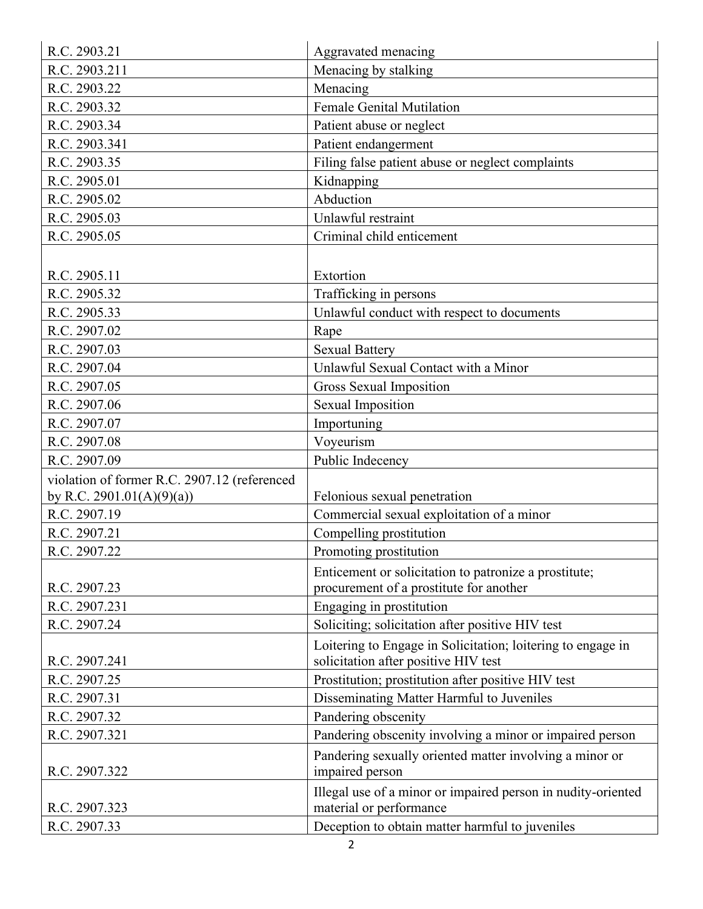| R.C. 2903.21                                 | Aggravated menacing                                          |
|----------------------------------------------|--------------------------------------------------------------|
| R.C. 2903.211                                | Menacing by stalking                                         |
| R.C. 2903.22                                 | Menacing                                                     |
| R.C. 2903.32                                 | <b>Female Genital Mutilation</b>                             |
| R.C. 2903.34                                 | Patient abuse or neglect                                     |
| R.C. 2903.341                                | Patient endangerment                                         |
| R.C. 2903.35                                 | Filing false patient abuse or neglect complaints             |
| R.C. 2905.01                                 | Kidnapping                                                   |
| R.C. 2905.02                                 | Abduction                                                    |
| R.C. 2905.03                                 | Unlawful restraint                                           |
| R.C. 2905.05                                 | Criminal child enticement                                    |
|                                              |                                                              |
| R.C. 2905.11                                 | Extortion                                                    |
| R.C. 2905.32                                 | Trafficking in persons                                       |
| R.C. 2905.33                                 | Unlawful conduct with respect to documents                   |
| R.C. 2907.02                                 | Rape                                                         |
| R.C. 2907.03                                 | <b>Sexual Battery</b>                                        |
| R.C. 2907.04                                 | Unlawful Sexual Contact with a Minor                         |
| R.C. 2907.05                                 | Gross Sexual Imposition                                      |
| R.C. 2907.06                                 | <b>Sexual Imposition</b>                                     |
| R.C. 2907.07                                 | Importuning                                                  |
| R.C. 2907.08                                 | Voyeurism                                                    |
| R.C. 2907.09                                 | Public Indecency                                             |
| violation of former R.C. 2907.12 (referenced |                                                              |
| by R.C. 2901.01(A)(9)(a))                    | Felonious sexual penetration                                 |
| R.C. 2907.19                                 | Commercial sexual exploitation of a minor                    |
| R.C. 2907.21                                 | Compelling prostitution                                      |
| R.C. 2907.22                                 | Promoting prostitution                                       |
|                                              | Enticement or solicitation to patronize a prostitute;        |
| R.C. 2907.23                                 | procurement of a prostitute for another                      |
| R.C. 2907.231                                | Engaging in prostitution                                     |
| R.C. 2907.24                                 | Soliciting; solicitation after positive HIV test             |
|                                              | Loitering to Engage in Solicitation; loitering to engage in  |
| R.C. 2907.241                                | solicitation after positive HIV test                         |
| R.C. 2907.25                                 | Prostitution; prostitution after positive HIV test           |
| R.C. 2907.31                                 | Disseminating Matter Harmful to Juveniles                    |
| R.C. 2907.32                                 | Pandering obscenity                                          |
| R.C. 2907.321                                | Pandering obscenity involving a minor or impaired person     |
|                                              | Pandering sexually oriented matter involving a minor or      |
| R.C. 2907.322                                | impaired person                                              |
|                                              | Illegal use of a minor or impaired person in nudity-oriented |
| R.C. 2907.323                                | material or performance                                      |
| R.C. 2907.33                                 | Deception to obtain matter harmful to juveniles              |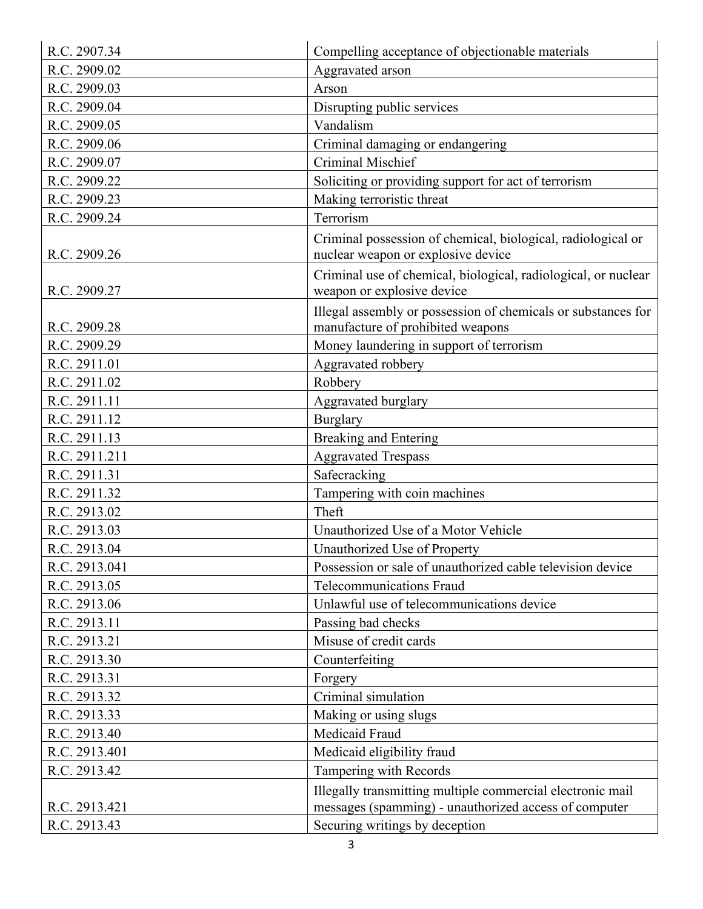| R.C. 2907.34  | Compelling acceptance of objectionable materials                                                                    |
|---------------|---------------------------------------------------------------------------------------------------------------------|
| R.C. 2909.02  | Aggravated arson                                                                                                    |
| R.C. 2909.03  | Arson                                                                                                               |
| R.C. 2909.04  | Disrupting public services                                                                                          |
| R.C. 2909.05  | Vandalism                                                                                                           |
| R.C. 2909.06  | Criminal damaging or endangering                                                                                    |
| R.C. 2909.07  | Criminal Mischief                                                                                                   |
| R.C. 2909.22  | Soliciting or providing support for act of terrorism                                                                |
| R.C. 2909.23  | Making terroristic threat                                                                                           |
| R.C. 2909.24  | Terrorism                                                                                                           |
| R.C. 2909.26  | Criminal possession of chemical, biological, radiological or<br>nuclear weapon or explosive device                  |
| R.C. 2909.27  | Criminal use of chemical, biological, radiological, or nuclear<br>weapon or explosive device                        |
| R.C. 2909.28  | Illegal assembly or possession of chemicals or substances for<br>manufacture of prohibited weapons                  |
| R.C. 2909.29  | Money laundering in support of terrorism                                                                            |
| R.C. 2911.01  | Aggravated robbery                                                                                                  |
| R.C. 2911.02  | Robbery                                                                                                             |
| R.C. 2911.11  | Aggravated burglary                                                                                                 |
| R.C. 2911.12  | Burglary                                                                                                            |
| R.C. 2911.13  | <b>Breaking and Entering</b>                                                                                        |
| R.C. 2911.211 | <b>Aggravated Trespass</b>                                                                                          |
| R.C. 2911.31  | Safecracking                                                                                                        |
| R.C. 2911.32  | Tampering with coin machines                                                                                        |
| R.C. 2913.02  | Theft                                                                                                               |
| R.C. 2913.03  | Unauthorized Use of a Motor Vehicle                                                                                 |
| R.C. 2913.04  | Unauthorized Use of Property                                                                                        |
| R.C. 2913.041 | Possession or sale of unauthorized cable television device                                                          |
| R.C. 2913.05  | <b>Telecommunications Fraud</b>                                                                                     |
| R.C. 2913.06  | Unlawful use of telecommunications device                                                                           |
| R.C. 2913.11  | Passing bad checks                                                                                                  |
| R.C. 2913.21  | Misuse of credit cards                                                                                              |
| R.C. 2913.30  | Counterfeiting                                                                                                      |
| R.C. 2913.31  | Forgery                                                                                                             |
| R.C. 2913.32  | Criminal simulation                                                                                                 |
| R.C. 2913.33  | Making or using slugs                                                                                               |
| R.C. 2913.40  | Medicaid Fraud                                                                                                      |
| R.C. 2913.401 | Medicaid eligibility fraud                                                                                          |
| R.C. 2913.42  | Tampering with Records                                                                                              |
| R.C. 2913.421 | Illegally transmitting multiple commercial electronic mail<br>messages (spamming) - unauthorized access of computer |
| R.C. 2913.43  | Securing writings by deception                                                                                      |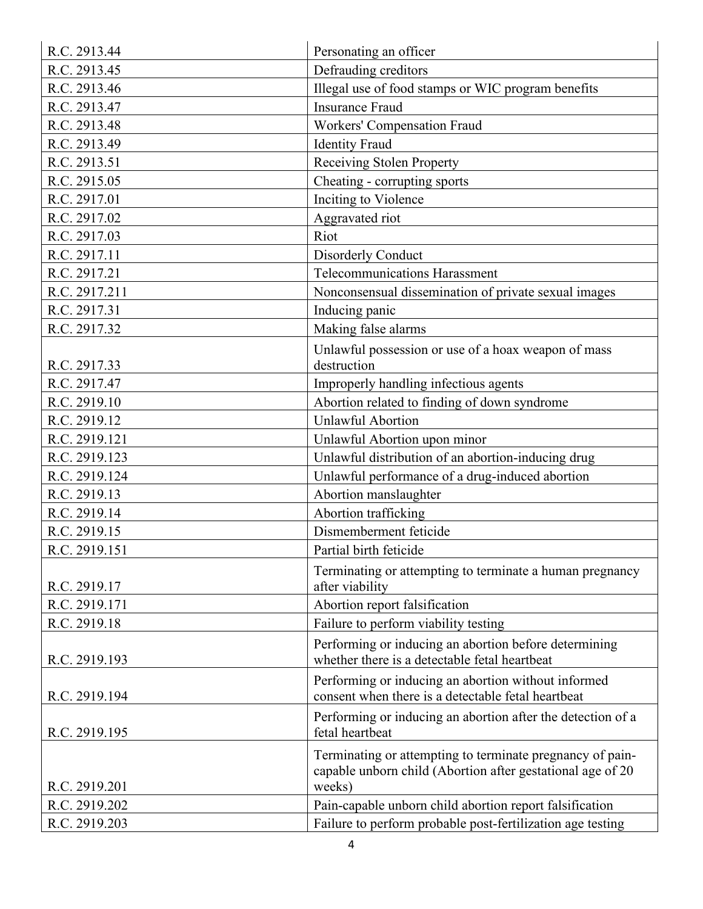| R.C. 2913.44  | Personating an officer                                                                                                            |
|---------------|-----------------------------------------------------------------------------------------------------------------------------------|
| R.C. 2913.45  | Defrauding creditors                                                                                                              |
| R.C. 2913.46  | Illegal use of food stamps or WIC program benefits                                                                                |
| R.C. 2913.47  | <b>Insurance Fraud</b>                                                                                                            |
| R.C. 2913.48  | Workers' Compensation Fraud                                                                                                       |
| R.C. 2913.49  | <b>Identity Fraud</b>                                                                                                             |
| R.C. 2913.51  | Receiving Stolen Property                                                                                                         |
| R.C. 2915.05  | Cheating - corrupting sports                                                                                                      |
| R.C. 2917.01  | Inciting to Violence                                                                                                              |
| R.C. 2917.02  | Aggravated riot                                                                                                                   |
| R.C. 2917.03  | Riot                                                                                                                              |
| R.C. 2917.11  | <b>Disorderly Conduct</b>                                                                                                         |
| R.C. 2917.21  | <b>Telecommunications Harassment</b>                                                                                              |
| R.C. 2917.211 | Nonconsensual dissemination of private sexual images                                                                              |
| R.C. 2917.31  | Inducing panic                                                                                                                    |
| R.C. 2917.32  | Making false alarms                                                                                                               |
|               | Unlawful possession or use of a hoax weapon of mass                                                                               |
| R.C. 2917.33  | destruction                                                                                                                       |
| R.C. 2917.47  | Improperly handling infectious agents                                                                                             |
| R.C. 2919.10  | Abortion related to finding of down syndrome                                                                                      |
| R.C. 2919.12  | <b>Unlawful Abortion</b>                                                                                                          |
| R.C. 2919.121 | Unlawful Abortion upon minor                                                                                                      |
| R.C. 2919.123 | Unlawful distribution of an abortion-inducing drug                                                                                |
| R.C. 2919.124 | Unlawful performance of a drug-induced abortion                                                                                   |
| R.C. 2919.13  | Abortion manslaughter                                                                                                             |
| R.C. 2919.14  | Abortion trafficking                                                                                                              |
| R.C. 2919.15  | Dismemberment feticide                                                                                                            |
| R.C. 2919.151 | Partial birth feticide                                                                                                            |
| R.C. 2919.17  | Terminating or attempting to terminate a human pregnancy<br>after viability                                                       |
| R.C. 2919.171 | Abortion report falsification                                                                                                     |
| R.C. 2919.18  | Failure to perform viability testing                                                                                              |
| R.C. 2919.193 | Performing or inducing an abortion before determining<br>whether there is a detectable fetal heartbeat                            |
| R.C. 2919.194 | Performing or inducing an abortion without informed<br>consent when there is a detectable fetal heartbeat                         |
| R.C. 2919.195 | Performing or inducing an abortion after the detection of a<br>fetal heartbeat                                                    |
| R.C. 2919.201 | Terminating or attempting to terminate pregnancy of pain-<br>capable unborn child (Abortion after gestational age of 20<br>weeks) |
| R.C. 2919.202 | Pain-capable unborn child abortion report falsification                                                                           |
| R.C. 2919.203 | Failure to perform probable post-fertilization age testing                                                                        |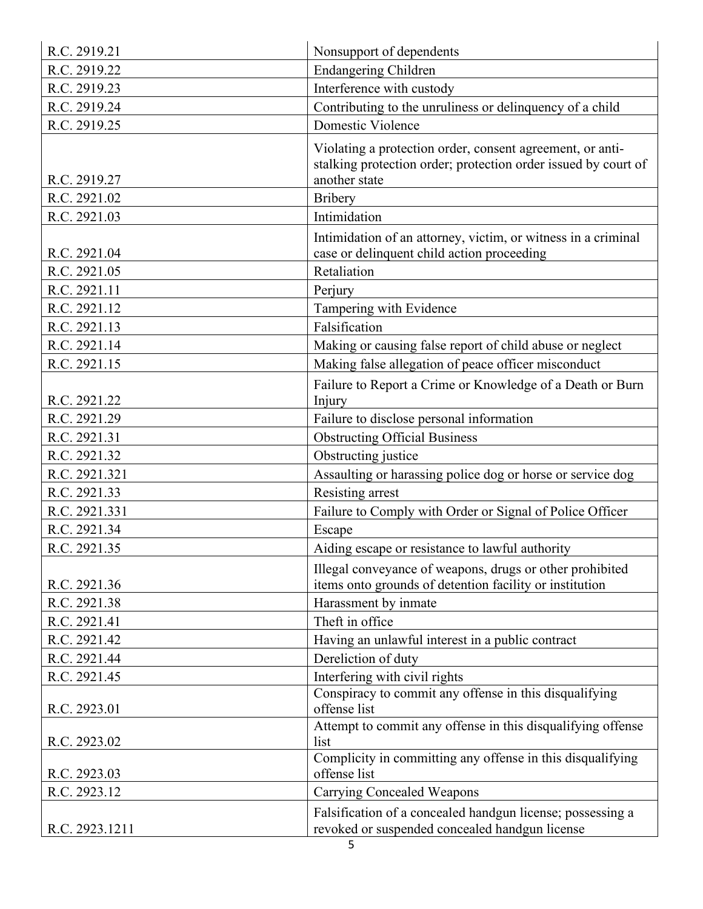| R.C. 2919.21   | Nonsupport of dependents                                                                                                                     |
|----------------|----------------------------------------------------------------------------------------------------------------------------------------------|
| R.C. 2919.22   | <b>Endangering Children</b>                                                                                                                  |
| R.C. 2919.23   | Interference with custody                                                                                                                    |
| R.C. 2919.24   | Contributing to the unruliness or delinquency of a child                                                                                     |
| R.C. 2919.25   | Domestic Violence                                                                                                                            |
| R.C. 2919.27   | Violating a protection order, consent agreement, or anti-<br>stalking protection order; protection order issued by court of<br>another state |
| R.C. 2921.02   | <b>Bribery</b>                                                                                                                               |
| R.C. 2921.03   | Intimidation                                                                                                                                 |
| R.C. 2921.04   | Intimidation of an attorney, victim, or witness in a criminal<br>case or delinquent child action proceeding                                  |
| R.C. 2921.05   | Retaliation                                                                                                                                  |
| R.C. 2921.11   | Perjury                                                                                                                                      |
| R.C. 2921.12   | Tampering with Evidence                                                                                                                      |
| R.C. 2921.13   | Falsification                                                                                                                                |
| R.C. 2921.14   | Making or causing false report of child abuse or neglect                                                                                     |
| R.C. 2921.15   | Making false allegation of peace officer misconduct                                                                                          |
|                | Failure to Report a Crime or Knowledge of a Death or Burn                                                                                    |
| R.C. 2921.22   | Injury                                                                                                                                       |
| R.C. 2921.29   | Failure to disclose personal information                                                                                                     |
| R.C. 2921.31   | <b>Obstructing Official Business</b>                                                                                                         |
| R.C. 2921.32   | Obstructing justice                                                                                                                          |
| R.C. 2921.321  | Assaulting or harassing police dog or horse or service dog                                                                                   |
| R.C. 2921.33   | Resisting arrest                                                                                                                             |
| R.C. 2921.331  | Failure to Comply with Order or Signal of Police Officer                                                                                     |
| R.C. 2921.34   | Escape                                                                                                                                       |
| R.C. 2921.35   | Aiding escape or resistance to lawful authority                                                                                              |
| R.C. 2921.36   | Illegal conveyance of weapons, drugs or other prohibited<br>items onto grounds of detention facility or institution                          |
| R.C. 2921.38   | Harassment by inmate                                                                                                                         |
| R.C. 2921.41   | Theft in office                                                                                                                              |
| R.C. 2921.42   | Having an unlawful interest in a public contract                                                                                             |
| R.C. 2921.44   | Dereliction of duty                                                                                                                          |
| R.C. 2921.45   | Interfering with civil rights                                                                                                                |
| R.C. 2923.01   | Conspiracy to commit any offense in this disqualifying<br>offense list                                                                       |
| R.C. 2923.02   | Attempt to commit any offense in this disqualifying offense<br>list                                                                          |
| R.C. 2923.03   | Complicity in committing any offense in this disqualifying<br>offense list                                                                   |
| R.C. 2923.12   | <b>Carrying Concealed Weapons</b>                                                                                                            |
| R.C. 2923.1211 | Falsification of a concealed handgun license; possessing a<br>revoked or suspended concealed handgun license                                 |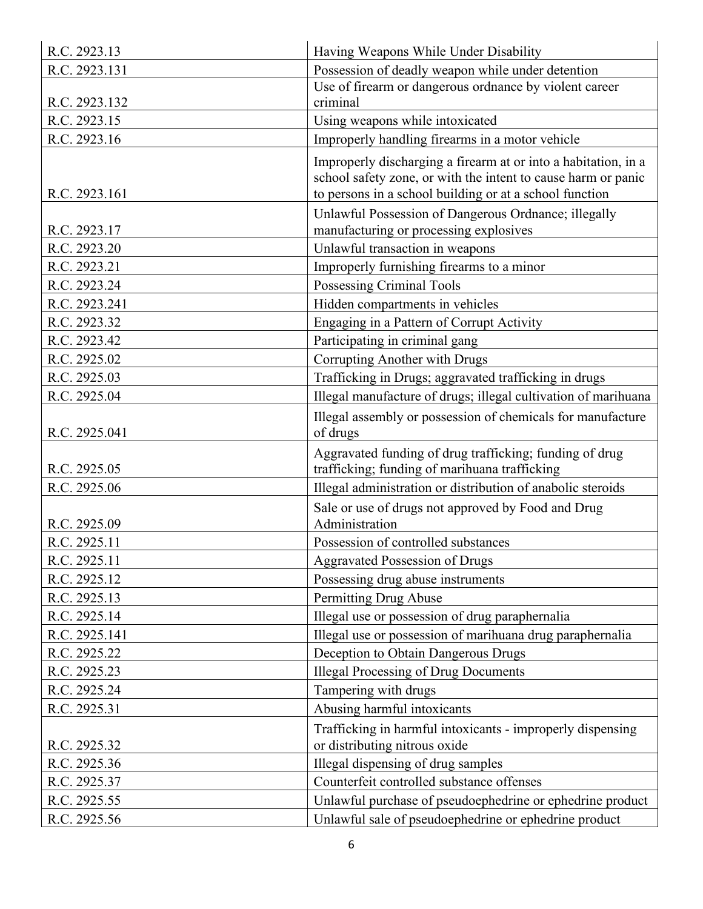| Possession of deadly weapon while under detention<br>R.C. 2923.131<br>Use of firearm or dangerous ordnance by violent career<br>R.C. 2923.132<br>criminal<br>R.C. 2923.15<br>Using weapons while intoxicated<br>R.C. 2923.16<br>Improperly handling firearms in a motor vehicle<br>Improperly discharging a firearm at or into a habitation, in a<br>school safety zone, or with the intent to cause harm or panic<br>to persons in a school building or at a school function<br>R.C. 2923.161<br>Unlawful Possession of Dangerous Ordnance; illegally<br>manufacturing or processing explosives<br>R.C. 2923.17<br>Unlawful transaction in weapons<br>R.C. 2923.20<br>Improperly furnishing firearms to a minor<br>R.C. 2923.21<br>Possessing Criminal Tools<br>R.C. 2923.24<br>R.C. 2923.241<br>Hidden compartments in vehicles<br>R.C. 2923.32<br>Engaging in a Pattern of Corrupt Activity<br>Participating in criminal gang<br>R.C. 2923.42<br>Corrupting Another with Drugs<br>R.C. 2925.02<br>Trafficking in Drugs; aggravated trafficking in drugs<br>R.C. 2925.03<br>Illegal manufacture of drugs; illegal cultivation of marihuana<br>R.C. 2925.04<br>Illegal assembly or possession of chemicals for manufacture<br>of drugs<br>R.C. 2925.041<br>Aggravated funding of drug trafficking; funding of drug<br>trafficking; funding of marihuana trafficking<br>R.C. 2925.05<br>Illegal administration or distribution of anabolic steroids<br>R.C. 2925.06<br>Sale or use of drugs not approved by Food and Drug<br>Administration<br>R.C. 2925.09<br>R.C. 2925.11<br>Possession of controlled substances<br>R.C. 2925.11<br><b>Aggravated Possession of Drugs</b><br>R.C. 2925.12<br>Possessing drug abuse instruments<br>Permitting Drug Abuse<br>R.C. 2925.13<br>R.C. 2925.14<br>Illegal use or possession of drug paraphernalia<br>Illegal use or possession of marihuana drug paraphernalia<br>R.C. 2925.141<br>Deception to Obtain Dangerous Drugs<br>R.C. 2925.22<br><b>Illegal Processing of Drug Documents</b><br>R.C. 2925.23<br>Tampering with drugs<br>R.C. 2925.24<br>Abusing harmful intoxicants<br>R.C. 2925.31<br>Trafficking in harmful intoxicants - improperly dispensing<br>or distributing nitrous oxide<br>R.C. 2925.32<br>Illegal dispensing of drug samples<br>R.C. 2925.36<br>Counterfeit controlled substance offenses<br>R.C. 2925.37<br>Unlawful purchase of pseudoephedrine or ephedrine product<br>R.C. 2925.55<br>R.C. 2925.56<br>Unlawful sale of pseudoephedrine or ephedrine product | R.C. 2923.13 | Having Weapons While Under Disability |
|---------------------------------------------------------------------------------------------------------------------------------------------------------------------------------------------------------------------------------------------------------------------------------------------------------------------------------------------------------------------------------------------------------------------------------------------------------------------------------------------------------------------------------------------------------------------------------------------------------------------------------------------------------------------------------------------------------------------------------------------------------------------------------------------------------------------------------------------------------------------------------------------------------------------------------------------------------------------------------------------------------------------------------------------------------------------------------------------------------------------------------------------------------------------------------------------------------------------------------------------------------------------------------------------------------------------------------------------------------------------------------------------------------------------------------------------------------------------------------------------------------------------------------------------------------------------------------------------------------------------------------------------------------------------------------------------------------------------------------------------------------------------------------------------------------------------------------------------------------------------------------------------------------------------------------------------------------------------------------------------------------------------------------------------------------------------------------------------------------------------------------------------------------------------------------------------------------------------------------------------------------------------------------------------------------------------------------------------------------------------------------------------------------------------------------------------------------------------------------------------------------------------------------|--------------|---------------------------------------|
|                                                                                                                                                                                                                                                                                                                                                                                                                                                                                                                                                                                                                                                                                                                                                                                                                                                                                                                                                                                                                                                                                                                                                                                                                                                                                                                                                                                                                                                                                                                                                                                                                                                                                                                                                                                                                                                                                                                                                                                                                                                                                                                                                                                                                                                                                                                                                                                                                                                                                                                                 |              |                                       |
|                                                                                                                                                                                                                                                                                                                                                                                                                                                                                                                                                                                                                                                                                                                                                                                                                                                                                                                                                                                                                                                                                                                                                                                                                                                                                                                                                                                                                                                                                                                                                                                                                                                                                                                                                                                                                                                                                                                                                                                                                                                                                                                                                                                                                                                                                                                                                                                                                                                                                                                                 |              |                                       |
|                                                                                                                                                                                                                                                                                                                                                                                                                                                                                                                                                                                                                                                                                                                                                                                                                                                                                                                                                                                                                                                                                                                                                                                                                                                                                                                                                                                                                                                                                                                                                                                                                                                                                                                                                                                                                                                                                                                                                                                                                                                                                                                                                                                                                                                                                                                                                                                                                                                                                                                                 |              |                                       |
|                                                                                                                                                                                                                                                                                                                                                                                                                                                                                                                                                                                                                                                                                                                                                                                                                                                                                                                                                                                                                                                                                                                                                                                                                                                                                                                                                                                                                                                                                                                                                                                                                                                                                                                                                                                                                                                                                                                                                                                                                                                                                                                                                                                                                                                                                                                                                                                                                                                                                                                                 |              |                                       |
|                                                                                                                                                                                                                                                                                                                                                                                                                                                                                                                                                                                                                                                                                                                                                                                                                                                                                                                                                                                                                                                                                                                                                                                                                                                                                                                                                                                                                                                                                                                                                                                                                                                                                                                                                                                                                                                                                                                                                                                                                                                                                                                                                                                                                                                                                                                                                                                                                                                                                                                                 |              |                                       |
|                                                                                                                                                                                                                                                                                                                                                                                                                                                                                                                                                                                                                                                                                                                                                                                                                                                                                                                                                                                                                                                                                                                                                                                                                                                                                                                                                                                                                                                                                                                                                                                                                                                                                                                                                                                                                                                                                                                                                                                                                                                                                                                                                                                                                                                                                                                                                                                                                                                                                                                                 |              |                                       |
|                                                                                                                                                                                                                                                                                                                                                                                                                                                                                                                                                                                                                                                                                                                                                                                                                                                                                                                                                                                                                                                                                                                                                                                                                                                                                                                                                                                                                                                                                                                                                                                                                                                                                                                                                                                                                                                                                                                                                                                                                                                                                                                                                                                                                                                                                                                                                                                                                                                                                                                                 |              |                                       |
|                                                                                                                                                                                                                                                                                                                                                                                                                                                                                                                                                                                                                                                                                                                                                                                                                                                                                                                                                                                                                                                                                                                                                                                                                                                                                                                                                                                                                                                                                                                                                                                                                                                                                                                                                                                                                                                                                                                                                                                                                                                                                                                                                                                                                                                                                                                                                                                                                                                                                                                                 |              |                                       |
|                                                                                                                                                                                                                                                                                                                                                                                                                                                                                                                                                                                                                                                                                                                                                                                                                                                                                                                                                                                                                                                                                                                                                                                                                                                                                                                                                                                                                                                                                                                                                                                                                                                                                                                                                                                                                                                                                                                                                                                                                                                                                                                                                                                                                                                                                                                                                                                                                                                                                                                                 |              |                                       |
|                                                                                                                                                                                                                                                                                                                                                                                                                                                                                                                                                                                                                                                                                                                                                                                                                                                                                                                                                                                                                                                                                                                                                                                                                                                                                                                                                                                                                                                                                                                                                                                                                                                                                                                                                                                                                                                                                                                                                                                                                                                                                                                                                                                                                                                                                                                                                                                                                                                                                                                                 |              |                                       |
|                                                                                                                                                                                                                                                                                                                                                                                                                                                                                                                                                                                                                                                                                                                                                                                                                                                                                                                                                                                                                                                                                                                                                                                                                                                                                                                                                                                                                                                                                                                                                                                                                                                                                                                                                                                                                                                                                                                                                                                                                                                                                                                                                                                                                                                                                                                                                                                                                                                                                                                                 |              |                                       |
|                                                                                                                                                                                                                                                                                                                                                                                                                                                                                                                                                                                                                                                                                                                                                                                                                                                                                                                                                                                                                                                                                                                                                                                                                                                                                                                                                                                                                                                                                                                                                                                                                                                                                                                                                                                                                                                                                                                                                                                                                                                                                                                                                                                                                                                                                                                                                                                                                                                                                                                                 |              |                                       |
|                                                                                                                                                                                                                                                                                                                                                                                                                                                                                                                                                                                                                                                                                                                                                                                                                                                                                                                                                                                                                                                                                                                                                                                                                                                                                                                                                                                                                                                                                                                                                                                                                                                                                                                                                                                                                                                                                                                                                                                                                                                                                                                                                                                                                                                                                                                                                                                                                                                                                                                                 |              |                                       |
|                                                                                                                                                                                                                                                                                                                                                                                                                                                                                                                                                                                                                                                                                                                                                                                                                                                                                                                                                                                                                                                                                                                                                                                                                                                                                                                                                                                                                                                                                                                                                                                                                                                                                                                                                                                                                                                                                                                                                                                                                                                                                                                                                                                                                                                                                                                                                                                                                                                                                                                                 |              |                                       |
|                                                                                                                                                                                                                                                                                                                                                                                                                                                                                                                                                                                                                                                                                                                                                                                                                                                                                                                                                                                                                                                                                                                                                                                                                                                                                                                                                                                                                                                                                                                                                                                                                                                                                                                                                                                                                                                                                                                                                                                                                                                                                                                                                                                                                                                                                                                                                                                                                                                                                                                                 |              |                                       |
|                                                                                                                                                                                                                                                                                                                                                                                                                                                                                                                                                                                                                                                                                                                                                                                                                                                                                                                                                                                                                                                                                                                                                                                                                                                                                                                                                                                                                                                                                                                                                                                                                                                                                                                                                                                                                                                                                                                                                                                                                                                                                                                                                                                                                                                                                                                                                                                                                                                                                                                                 |              |                                       |
|                                                                                                                                                                                                                                                                                                                                                                                                                                                                                                                                                                                                                                                                                                                                                                                                                                                                                                                                                                                                                                                                                                                                                                                                                                                                                                                                                                                                                                                                                                                                                                                                                                                                                                                                                                                                                                                                                                                                                                                                                                                                                                                                                                                                                                                                                                                                                                                                                                                                                                                                 |              |                                       |
|                                                                                                                                                                                                                                                                                                                                                                                                                                                                                                                                                                                                                                                                                                                                                                                                                                                                                                                                                                                                                                                                                                                                                                                                                                                                                                                                                                                                                                                                                                                                                                                                                                                                                                                                                                                                                                                                                                                                                                                                                                                                                                                                                                                                                                                                                                                                                                                                                                                                                                                                 |              |                                       |
|                                                                                                                                                                                                                                                                                                                                                                                                                                                                                                                                                                                                                                                                                                                                                                                                                                                                                                                                                                                                                                                                                                                                                                                                                                                                                                                                                                                                                                                                                                                                                                                                                                                                                                                                                                                                                                                                                                                                                                                                                                                                                                                                                                                                                                                                                                                                                                                                                                                                                                                                 |              |                                       |
|                                                                                                                                                                                                                                                                                                                                                                                                                                                                                                                                                                                                                                                                                                                                                                                                                                                                                                                                                                                                                                                                                                                                                                                                                                                                                                                                                                                                                                                                                                                                                                                                                                                                                                                                                                                                                                                                                                                                                                                                                                                                                                                                                                                                                                                                                                                                                                                                                                                                                                                                 |              |                                       |
|                                                                                                                                                                                                                                                                                                                                                                                                                                                                                                                                                                                                                                                                                                                                                                                                                                                                                                                                                                                                                                                                                                                                                                                                                                                                                                                                                                                                                                                                                                                                                                                                                                                                                                                                                                                                                                                                                                                                                                                                                                                                                                                                                                                                                                                                                                                                                                                                                                                                                                                                 |              |                                       |
|                                                                                                                                                                                                                                                                                                                                                                                                                                                                                                                                                                                                                                                                                                                                                                                                                                                                                                                                                                                                                                                                                                                                                                                                                                                                                                                                                                                                                                                                                                                                                                                                                                                                                                                                                                                                                                                                                                                                                                                                                                                                                                                                                                                                                                                                                                                                                                                                                                                                                                                                 |              |                                       |
|                                                                                                                                                                                                                                                                                                                                                                                                                                                                                                                                                                                                                                                                                                                                                                                                                                                                                                                                                                                                                                                                                                                                                                                                                                                                                                                                                                                                                                                                                                                                                                                                                                                                                                                                                                                                                                                                                                                                                                                                                                                                                                                                                                                                                                                                                                                                                                                                                                                                                                                                 |              |                                       |
|                                                                                                                                                                                                                                                                                                                                                                                                                                                                                                                                                                                                                                                                                                                                                                                                                                                                                                                                                                                                                                                                                                                                                                                                                                                                                                                                                                                                                                                                                                                                                                                                                                                                                                                                                                                                                                                                                                                                                                                                                                                                                                                                                                                                                                                                                                                                                                                                                                                                                                                                 |              |                                       |
|                                                                                                                                                                                                                                                                                                                                                                                                                                                                                                                                                                                                                                                                                                                                                                                                                                                                                                                                                                                                                                                                                                                                                                                                                                                                                                                                                                                                                                                                                                                                                                                                                                                                                                                                                                                                                                                                                                                                                                                                                                                                                                                                                                                                                                                                                                                                                                                                                                                                                                                                 |              |                                       |
|                                                                                                                                                                                                                                                                                                                                                                                                                                                                                                                                                                                                                                                                                                                                                                                                                                                                                                                                                                                                                                                                                                                                                                                                                                                                                                                                                                                                                                                                                                                                                                                                                                                                                                                                                                                                                                                                                                                                                                                                                                                                                                                                                                                                                                                                                                                                                                                                                                                                                                                                 |              |                                       |
|                                                                                                                                                                                                                                                                                                                                                                                                                                                                                                                                                                                                                                                                                                                                                                                                                                                                                                                                                                                                                                                                                                                                                                                                                                                                                                                                                                                                                                                                                                                                                                                                                                                                                                                                                                                                                                                                                                                                                                                                                                                                                                                                                                                                                                                                                                                                                                                                                                                                                                                                 |              |                                       |
|                                                                                                                                                                                                                                                                                                                                                                                                                                                                                                                                                                                                                                                                                                                                                                                                                                                                                                                                                                                                                                                                                                                                                                                                                                                                                                                                                                                                                                                                                                                                                                                                                                                                                                                                                                                                                                                                                                                                                                                                                                                                                                                                                                                                                                                                                                                                                                                                                                                                                                                                 |              |                                       |
|                                                                                                                                                                                                                                                                                                                                                                                                                                                                                                                                                                                                                                                                                                                                                                                                                                                                                                                                                                                                                                                                                                                                                                                                                                                                                                                                                                                                                                                                                                                                                                                                                                                                                                                                                                                                                                                                                                                                                                                                                                                                                                                                                                                                                                                                                                                                                                                                                                                                                                                                 |              |                                       |
|                                                                                                                                                                                                                                                                                                                                                                                                                                                                                                                                                                                                                                                                                                                                                                                                                                                                                                                                                                                                                                                                                                                                                                                                                                                                                                                                                                                                                                                                                                                                                                                                                                                                                                                                                                                                                                                                                                                                                                                                                                                                                                                                                                                                                                                                                                                                                                                                                                                                                                                                 |              |                                       |
|                                                                                                                                                                                                                                                                                                                                                                                                                                                                                                                                                                                                                                                                                                                                                                                                                                                                                                                                                                                                                                                                                                                                                                                                                                                                                                                                                                                                                                                                                                                                                                                                                                                                                                                                                                                                                                                                                                                                                                                                                                                                                                                                                                                                                                                                                                                                                                                                                                                                                                                                 |              |                                       |
|                                                                                                                                                                                                                                                                                                                                                                                                                                                                                                                                                                                                                                                                                                                                                                                                                                                                                                                                                                                                                                                                                                                                                                                                                                                                                                                                                                                                                                                                                                                                                                                                                                                                                                                                                                                                                                                                                                                                                                                                                                                                                                                                                                                                                                                                                                                                                                                                                                                                                                                                 |              |                                       |
|                                                                                                                                                                                                                                                                                                                                                                                                                                                                                                                                                                                                                                                                                                                                                                                                                                                                                                                                                                                                                                                                                                                                                                                                                                                                                                                                                                                                                                                                                                                                                                                                                                                                                                                                                                                                                                                                                                                                                                                                                                                                                                                                                                                                                                                                                                                                                                                                                                                                                                                                 |              |                                       |
|                                                                                                                                                                                                                                                                                                                                                                                                                                                                                                                                                                                                                                                                                                                                                                                                                                                                                                                                                                                                                                                                                                                                                                                                                                                                                                                                                                                                                                                                                                                                                                                                                                                                                                                                                                                                                                                                                                                                                                                                                                                                                                                                                                                                                                                                                                                                                                                                                                                                                                                                 |              |                                       |
|                                                                                                                                                                                                                                                                                                                                                                                                                                                                                                                                                                                                                                                                                                                                                                                                                                                                                                                                                                                                                                                                                                                                                                                                                                                                                                                                                                                                                                                                                                                                                                                                                                                                                                                                                                                                                                                                                                                                                                                                                                                                                                                                                                                                                                                                                                                                                                                                                                                                                                                                 |              |                                       |
|                                                                                                                                                                                                                                                                                                                                                                                                                                                                                                                                                                                                                                                                                                                                                                                                                                                                                                                                                                                                                                                                                                                                                                                                                                                                                                                                                                                                                                                                                                                                                                                                                                                                                                                                                                                                                                                                                                                                                                                                                                                                                                                                                                                                                                                                                                                                                                                                                                                                                                                                 |              |                                       |
|                                                                                                                                                                                                                                                                                                                                                                                                                                                                                                                                                                                                                                                                                                                                                                                                                                                                                                                                                                                                                                                                                                                                                                                                                                                                                                                                                                                                                                                                                                                                                                                                                                                                                                                                                                                                                                                                                                                                                                                                                                                                                                                                                                                                                                                                                                                                                                                                                                                                                                                                 |              |                                       |
|                                                                                                                                                                                                                                                                                                                                                                                                                                                                                                                                                                                                                                                                                                                                                                                                                                                                                                                                                                                                                                                                                                                                                                                                                                                                                                                                                                                                                                                                                                                                                                                                                                                                                                                                                                                                                                                                                                                                                                                                                                                                                                                                                                                                                                                                                                                                                                                                                                                                                                                                 |              |                                       |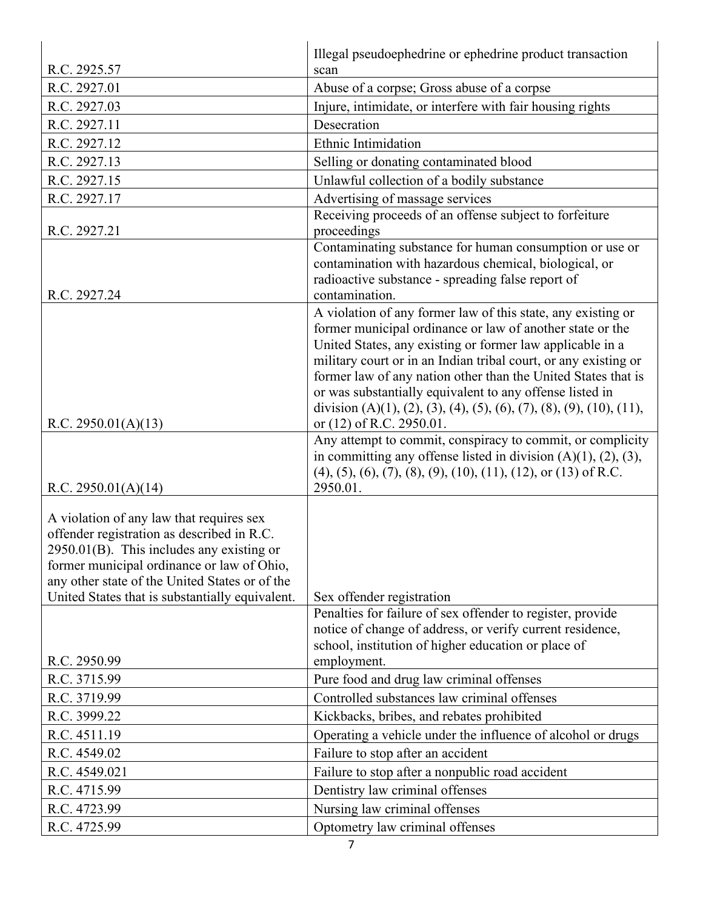|                                                                                                                                                                                                                                                                                        | Illegal pseudoephedrine or ephedrine product transaction                                                                                                                                                                                                                                                                                                                                                                                                                                   |
|----------------------------------------------------------------------------------------------------------------------------------------------------------------------------------------------------------------------------------------------------------------------------------------|--------------------------------------------------------------------------------------------------------------------------------------------------------------------------------------------------------------------------------------------------------------------------------------------------------------------------------------------------------------------------------------------------------------------------------------------------------------------------------------------|
| R.C. 2925.57                                                                                                                                                                                                                                                                           | scan                                                                                                                                                                                                                                                                                                                                                                                                                                                                                       |
| R.C. 2927.01                                                                                                                                                                                                                                                                           | Abuse of a corpse; Gross abuse of a corpse                                                                                                                                                                                                                                                                                                                                                                                                                                                 |
| R.C. 2927.03                                                                                                                                                                                                                                                                           | Injure, intimidate, or interfere with fair housing rights                                                                                                                                                                                                                                                                                                                                                                                                                                  |
| R.C. 2927.11                                                                                                                                                                                                                                                                           | Desecration                                                                                                                                                                                                                                                                                                                                                                                                                                                                                |
| R.C. 2927.12                                                                                                                                                                                                                                                                           | Ethnic Intimidation                                                                                                                                                                                                                                                                                                                                                                                                                                                                        |
| R.C. 2927.13                                                                                                                                                                                                                                                                           | Selling or donating contaminated blood                                                                                                                                                                                                                                                                                                                                                                                                                                                     |
| R.C. 2927.15                                                                                                                                                                                                                                                                           | Unlawful collection of a bodily substance                                                                                                                                                                                                                                                                                                                                                                                                                                                  |
| R.C. 2927.17                                                                                                                                                                                                                                                                           | Advertising of massage services                                                                                                                                                                                                                                                                                                                                                                                                                                                            |
| R.C. 2927.21                                                                                                                                                                                                                                                                           | Receiving proceeds of an offense subject to forfeiture<br>proceedings                                                                                                                                                                                                                                                                                                                                                                                                                      |
| R.C. 2927.24                                                                                                                                                                                                                                                                           | Contaminating substance for human consumption or use or<br>contamination with hazardous chemical, biological, or<br>radioactive substance - spreading false report of<br>contamination.                                                                                                                                                                                                                                                                                                    |
| R.C. $2950.01(A)(13)$                                                                                                                                                                                                                                                                  | A violation of any former law of this state, any existing or<br>former municipal ordinance or law of another state or the<br>United States, any existing or former law applicable in a<br>military court or in an Indian tribal court, or any existing or<br>former law of any nation other than the United States that is<br>or was substantially equivalent to any offense listed in<br>division (A)(1), (2), (3), (4), (5), (6), (7), (8), (9), (10), (11),<br>or (12) of R.C. 2950.01. |
| R.C. $2950.01(A)(14)$                                                                                                                                                                                                                                                                  | Any attempt to commit, conspiracy to commit, or complicity<br>in committing any offense listed in division $(A)(1)$ , $(2)$ , $(3)$ ,<br>$(4)$ , $(5)$ , $(6)$ , $(7)$ , $(8)$ , $(9)$ , $(10)$ , $(11)$ , $(12)$ , or $(13)$ of R.C.<br>2950.01.                                                                                                                                                                                                                                          |
| A violation of any law that requires sex<br>offender registration as described in R.C.<br>2950.01(B). This includes any existing or<br>former municipal ordinance or law of Ohio,<br>any other state of the United States or of the<br>United States that is substantially equivalent. | Sex offender registration                                                                                                                                                                                                                                                                                                                                                                                                                                                                  |
| R.C. 2950.99                                                                                                                                                                                                                                                                           | Penalties for failure of sex offender to register, provide<br>notice of change of address, or verify current residence,<br>school, institution of higher education or place of<br>employment.                                                                                                                                                                                                                                                                                              |
| R.C. 3715.99                                                                                                                                                                                                                                                                           | Pure food and drug law criminal offenses                                                                                                                                                                                                                                                                                                                                                                                                                                                   |
| R.C. 3719.99                                                                                                                                                                                                                                                                           | Controlled substances law criminal offenses                                                                                                                                                                                                                                                                                                                                                                                                                                                |
| R.C. 3999.22                                                                                                                                                                                                                                                                           | Kickbacks, bribes, and rebates prohibited                                                                                                                                                                                                                                                                                                                                                                                                                                                  |
| R.C. 4511.19                                                                                                                                                                                                                                                                           | Operating a vehicle under the influence of alcohol or drugs                                                                                                                                                                                                                                                                                                                                                                                                                                |
| R.C. 4549.02                                                                                                                                                                                                                                                                           | Failure to stop after an accident                                                                                                                                                                                                                                                                                                                                                                                                                                                          |
| R.C. 4549.021                                                                                                                                                                                                                                                                          | Failure to stop after a nonpublic road accident                                                                                                                                                                                                                                                                                                                                                                                                                                            |
| R.C. 4715.99                                                                                                                                                                                                                                                                           | Dentistry law criminal offenses                                                                                                                                                                                                                                                                                                                                                                                                                                                            |
| R.C. 4723.99                                                                                                                                                                                                                                                                           | Nursing law criminal offenses                                                                                                                                                                                                                                                                                                                                                                                                                                                              |
|                                                                                                                                                                                                                                                                                        | Optometry law criminal offenses                                                                                                                                                                                                                                                                                                                                                                                                                                                            |
| R.C. 4725.99                                                                                                                                                                                                                                                                           |                                                                                                                                                                                                                                                                                                                                                                                                                                                                                            |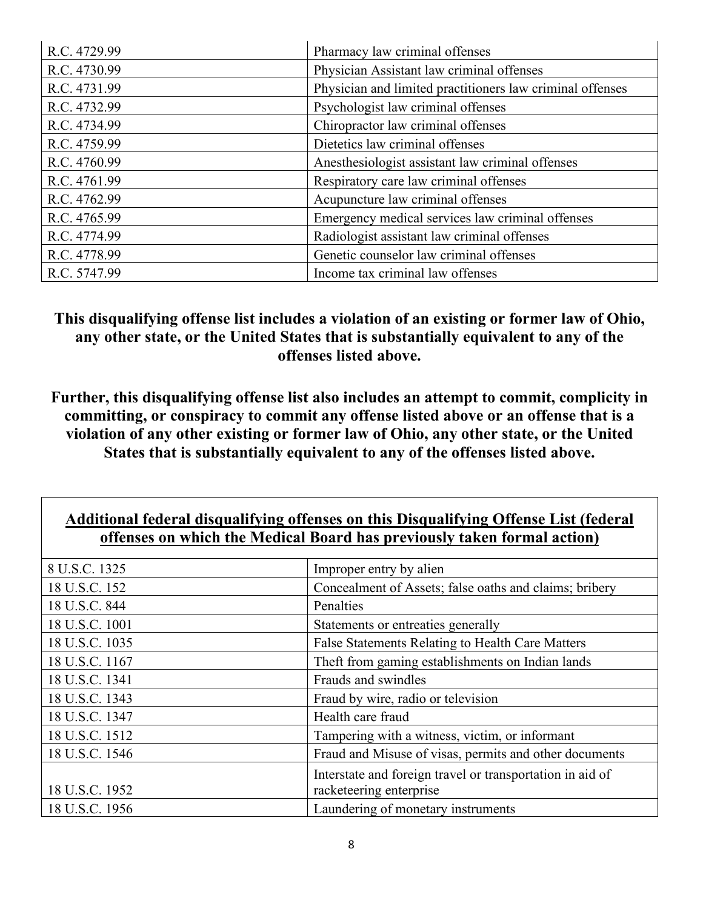| R.C. 4729.99 | Pharmacy law criminal offenses                            |
|--------------|-----------------------------------------------------------|
| R.C. 4730.99 | Physician Assistant law criminal offenses                 |
| R.C. 4731.99 | Physician and limited practitioners law criminal offenses |
| R.C. 4732.99 | Psychologist law criminal offenses                        |
| R.C. 4734.99 | Chiropractor law criminal offenses                        |
| R.C. 4759.99 | Dietetics law criminal offenses                           |
| R.C. 4760.99 | Anesthesiologist assistant law criminal offenses          |
| R.C. 4761.99 | Respiratory care law criminal offenses                    |
| R.C. 4762.99 | Acupuncture law criminal offenses                         |
| R.C. 4765.99 | Emergency medical services law criminal offenses          |
| R.C. 4774.99 | Radiologist assistant law criminal offenses               |
| R.C. 4778.99 | Genetic counselor law criminal offenses                   |
| R.C. 5747.99 | Income tax criminal law offenses                          |

**This disqualifying offense list includes a violation of an existing or former law of Ohio, any other state, or the United States that is substantially equivalent to any of the offenses listed above.** 

**Further, this disqualifying offense list also includes an attempt to commit, complicity in committing, or conspiracy to commit any offense listed above or an offense that is a violation of any other existing or former law of Ohio, any other state, or the United States that is substantially equivalent to any of the offenses listed above.** 

## **Additional federal disqualifying offenses on this Disqualifying Offense List (federal offenses on which the Medical Board has previously taken formal action)**

| 8 U.S.C. 1325  | Improper entry by alien                                   |
|----------------|-----------------------------------------------------------|
| 18 U.S.C. 152  | Concealment of Assets; false oaths and claims; bribery    |
| 18 U.S.C. 844  | Penalties                                                 |
| 18 U.S.C. 1001 | Statements or entreaties generally                        |
| 18 U.S.C. 1035 | False Statements Relating to Health Care Matters          |
| 18 U.S.C. 1167 | Theft from gaming establishments on Indian lands          |
| 18 U.S.C. 1341 | Frauds and swindles                                       |
| 18 U.S.C. 1343 | Fraud by wire, radio or television                        |
| 18 U.S.C. 1347 | Health care fraud                                         |
| 18 U.S.C. 1512 | Tampering with a witness, victim, or informant            |
| 18 U.S.C. 1546 | Fraud and Misuse of visas, permits and other documents    |
|                | Interstate and foreign travel or transportation in aid of |
| 18 U.S.C. 1952 | racketeering enterprise                                   |
| 18 U.S.C. 1956 | Laundering of monetary instruments                        |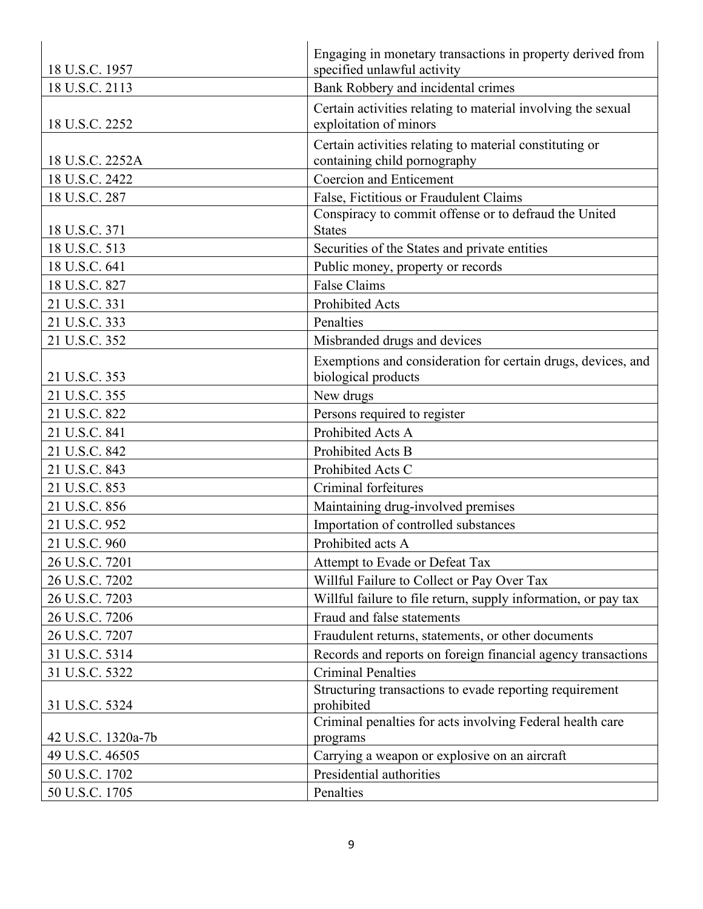| 18 U.S.C. 1957     | Engaging in monetary transactions in property derived from<br>specified unlawful activity       |
|--------------------|-------------------------------------------------------------------------------------------------|
| 18 U.S.C. 2113     | Bank Robbery and incidental crimes                                                              |
|                    | Certain activities relating to material involving the sexual                                    |
| 18 U.S.C. 2252     | exploitation of minors                                                                          |
|                    | Certain activities relating to material constituting or                                         |
| 18 U.S.C. 2252A    | containing child pornography                                                                    |
| 18 U.S.C. 2422     | <b>Coercion and Enticement</b>                                                                  |
| 18 U.S.C. 287      | False, Fictitious or Fraudulent Claims<br>Conspiracy to commit offense or to defraud the United |
| 18 U.S.C. 371      | <b>States</b>                                                                                   |
| 18 U.S.C. 513      | Securities of the States and private entities                                                   |
| 18 U.S.C. 641      | Public money, property or records                                                               |
| 18 U.S.C. 827      | <b>False Claims</b>                                                                             |
| 21 U.S.C. 331      | <b>Prohibited Acts</b>                                                                          |
| 21 U.S.C. 333      | Penalties                                                                                       |
| 21 U.S.C. 352      | Misbranded drugs and devices                                                                    |
|                    | Exemptions and consideration for certain drugs, devices, and                                    |
| 21 U.S.C. 353      | biological products                                                                             |
| 21 U.S.C. 355      | New drugs                                                                                       |
| 21 U.S.C. 822      | Persons required to register                                                                    |
| 21 U.S.C. 841      | Prohibited Acts A                                                                               |
| 21 U.S.C. 842      | Prohibited Acts B                                                                               |
| 21 U.S.C. 843      | Prohibited Acts C                                                                               |
| 21 U.S.C. 853      | Criminal forfeitures                                                                            |
| 21 U.S.C. 856      | Maintaining drug-involved premises                                                              |
| 21 U.S.C. 952      | Importation of controlled substances                                                            |
| 21 U.S.C. 960      | Prohibited acts A                                                                               |
| 26 U.S.C. 7201     | Attempt to Evade or Defeat Tax                                                                  |
| 26 U.S.C. 7202     | Willful Failure to Collect or Pay Over Tax                                                      |
| 26 U.S.C. 7203     | Willful failure to file return, supply information, or pay tax                                  |
| 26 U.S.C. 7206     | Fraud and false statements                                                                      |
| 26 U.S.C. 7207     | Fraudulent returns, statements, or other documents                                              |
| 31 U.S.C. 5314     | Records and reports on foreign financial agency transactions                                    |
| 31 U.S.C. 5322     | <b>Criminal Penalties</b>                                                                       |
| 31 U.S.C. 5324     | Structuring transactions to evade reporting requirement<br>prohibited                           |
| 42 U.S.C. 1320a-7b | Criminal penalties for acts involving Federal health care<br>programs                           |
| 49 U.S.C. 46505    | Carrying a weapon or explosive on an aircraft                                                   |
| 50 U.S.C. 1702     | Presidential authorities                                                                        |
| 50 U.S.C. 1705     | Penalties                                                                                       |